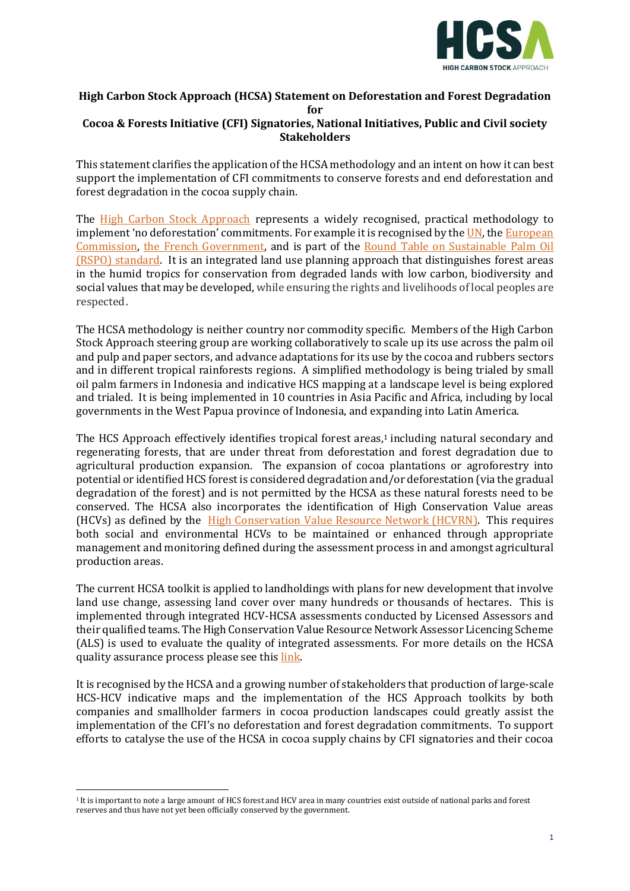

## **High Carbon Stock Approach (HCSA) Statement on Deforestation and Forest Degradation for Cocoa & Forests Initiative (CFI) Signatories, National Initiatives, Public and Civil society**

**Stakeholders**

This statement clarifies the application of the HCSA methodology and an intent on how it can best support the implementation of CFI commitments to conserve forests and end deforestation and forest degradation in the cocoa supply chain.

The [High Carbon Stock Approach](http://highcarbonstock.org/the-hcs-approach-toolkit/) represents a widely recognised, [practical methodology](http://highcarbonstock.org/the-hcs-approach-toolkit/) to implement 'no deforestation' commitments. For example it is recognised by th[e UN,](https://www.unenvironment.org/news-and-stories/story/towards-zero-deforestation) the European [Commission,](https://eur-lex.europa.eu/legal-content/EN/TXT/?uri=CELEX%3A52019DC0352) [the French Government,](https://www.ecologique-solidaire.gouv.fr/sites/default/files/2018.11.14_SNDI_0.pdf) and is part of the Round Table on [Sustainable Palm Oil](https://rspo.org/principles-and-criteria-review)  [\(RSPO\) standard.](https://rspo.org/principles-and-criteria-review) It is an integrated land use planning approach that distinguishes forest areas in the humid tropics for conservation from degraded lands with low carbon, biodiversity and social values that may be developed, while ensuring the rights and livelihoods of local peoples are respected.

The HCSA [methodology](http://highcarbonstock.org/the-hcs-approach-toolkit/) is neither country nor commodity specific. Members of the High Carbon Stock Approach steering group are working collaboratively to scale up its use across the palm oil and pulp and paper sectors, and advance adaptations for its use by the cocoa and rubbers sectors and in different tropical rainforests regions. A simplified methodology is being trialed by small oil palm farmers in Indonesia and indicative HCS mapping at a landscape level is being explored and trialed. It is being implemented in 10 countries in Asia Pacific and Africa, including by local governments in the West Papua province of Indonesia, and expanding into Latin America.

The HCS Approach effectively identifies tropical forest areas, <sup>1</sup> including natural secondary and regenerating forests, that are under threat from deforestation and forest degradation due to agricultural production expansion. The expansion of cocoa plantations or agroforestry into potential or identified HCS forest is considered degradation and/or deforestation (via the gradual degradation of the forest) and is not permitted by the HCSA as these natural forests need to be conserved. The HCSA also incorporates the identification of High Conservation Value areas (HCVs) as defined by the [High Conservation Value Resource Network](https://hcvnetwork.org/) (HCVRN). This requires both social and environmental HCVs to be maintained or enhanced through appropriate management and monitoring defined during the assessment process in and amongst agricultural production areas.

The current HCSA toolkit is applied to landholdings with plans for new development that involve land use change, assessing land cover over many hundreds or thousands of hectares. This is implemented through integrated HCV-HCSA assessments conducted by Licensed Assessors and their qualified teams. The High Conservation Value Resource Network Assessor Licencing Scheme (ALS) is used to evaluate the quality of integrated assessments. For more details on the HCSA quality assurance process please see thi[s link.](http://highcarbonstock.org/hcs-approach-quality-review-process/about-the-quality-review-process/)

It is recognised by the HCSA and a growing number of stakeholders that production of large-scale HCS-HCV indicative maps and the implementation of the HCS Approach toolkits by both companies and smallholder farmers in cocoa production landscapes could greatly assist the implementation of the CFI's no deforestation and forest degradation commitments. To support efforts to catalyse the use of the HCSA in cocoa supply chains by CFI signatories and their cocoa

<sup>1</sup> It is important to note a large amount of HCS forest and HCV area in many countries exist outside of national parks and forest reserves and thus have not yet been officially conserved by the government.